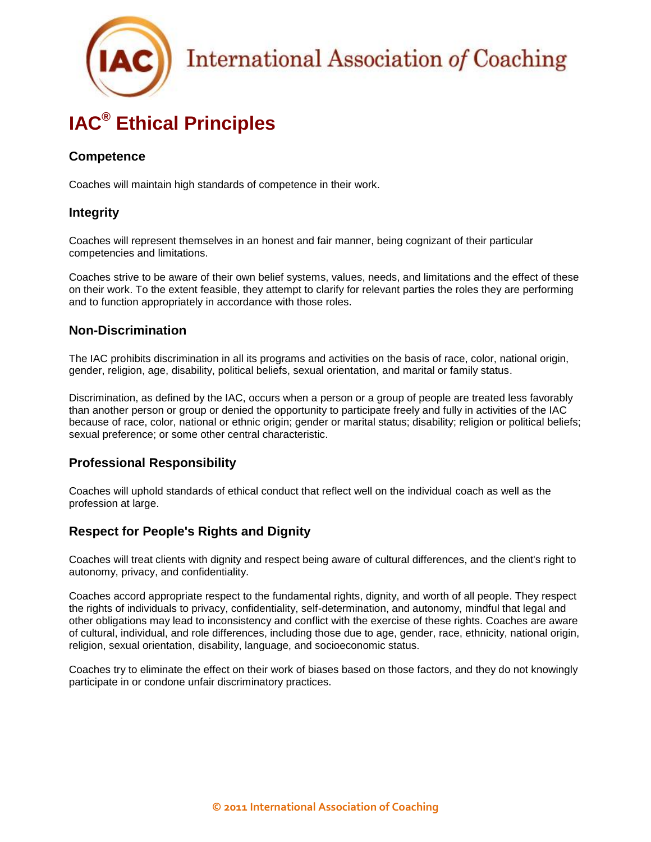# **IAC® Ethical Principles**

### **Competence**

Coaches will maintain high standards of competence in their work.

### **Integrity**

Coaches will represent themselves in an honest and fair manner, being cognizant of their particular competencies and limitations.

Coaches strive to be aware of their own belief systems, values, needs, and limitations and the effect of these on their work. To the extent feasible, they attempt to clarify for relevant parties the roles they are performing and to function appropriately in accordance with those roles.

### **Non-Discrimination**

The IAC prohibits discrimination in all its programs and activities on the basis of race, color, national origin, gender, religion, age, disability, political beliefs, sexual orientation, and marital or family status.

Discrimination, as defined by the IAC, occurs when a person or a group of people are treated less favorably than another person or group or denied the opportunity to participate freely and fully in activities of the IAC because of race, color, national or ethnic origin; gender or marital status; disability; religion or political beliefs; sexual preference; or some other central characteristic.

### **Professional Responsibility**

Coaches will uphold standards of ethical conduct that reflect well on the individual coach as well as the profession at large.

### **Respect for People's Rights and Dignity**

Coaches will treat clients with dignity and respect being aware of cultural differences, and the client's right to autonomy, privacy, and confidentiality.

Coaches accord appropriate respect to the fundamental rights, dignity, and worth of all people. They respect the rights of individuals to privacy, confidentiality, self-determination, and autonomy, mindful that legal and other obligations may lead to inconsistency and conflict with the exercise of these rights. Coaches are aware of cultural, individual, and role differences, including those due to age, gender, race, ethnicity, national origin, religion, sexual orientation, disability, language, and socioeconomic status.

Coaches try to eliminate the effect on their work of biases based on those factors, and they do not knowingly participate in or condone unfair discriminatory practices.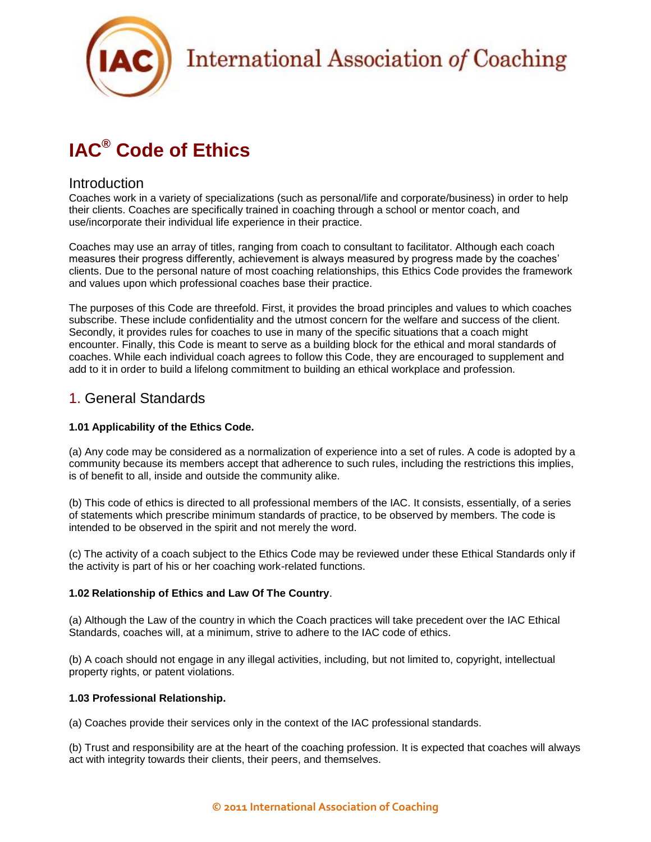

# **IAC® Code of Ethics**

### Introduction

Coaches work in a variety of specializations (such as personal/life and corporate/business) in order to help their clients. Coaches are specifically trained in coaching through a school or mentor coach, and use/incorporate their individual life experience in their practice.

Coaches may use an array of titles, ranging from coach to consultant to facilitator. Although each coach measures their progress differently, achievement is always measured by progress made by the coaches' clients. Due to the personal nature of most coaching relationships, this Ethics Code provides the framework and values upon which professional coaches base their practice.

The purposes of this Code are threefold. First, it provides the broad principles and values to which coaches subscribe. These include confidentiality and the utmost concern for the welfare and success of the client. Secondly, it provides rules for coaches to use in many of the specific situations that a coach might encounter. Finally, this Code is meant to serve as a building block for the ethical and moral standards of coaches. While each individual coach agrees to follow this Code, they are encouraged to supplement and add to it in order to build a lifelong commitment to building an ethical workplace and profession.

## 1. General Standards

### **1.01 Applicability of the Ethics Code.**

(a) Any code may be considered as a normalization of experience into a set of rules. A code is adopted by a community because its members accept that adherence to such rules, including the restrictions this implies, is of benefit to all, inside and outside the community alike.

(b) This code of ethics is directed to all professional members of the IAC. It consists, essentially, of a series of statements which prescribe minimum standards of practice, to be observed by members. The code is intended to be observed in the spirit and not merely the word.

(c) The activity of a coach subject to the Ethics Code may be reviewed under these Ethical Standards only if the activity is part of his or her coaching work-related functions.

### **1.02 Relationship of Ethics and Law Of The Country**.

(a) Although the Law of the country in which the Coach practices will take precedent over the IAC Ethical Standards, coaches will, at a minimum, strive to adhere to the IAC code of ethics.

(b) A coach should not engage in any illegal activities, including, but not limited to, copyright, intellectual property rights, or patent violations.

### **1.03 Professional Relationship.**

(a) Coaches provide their services only in the context of the IAC professional standards.

(b) Trust and responsibility are at the heart of the coaching profession. It is expected that coaches will always act with integrity towards their clients, their peers, and themselves.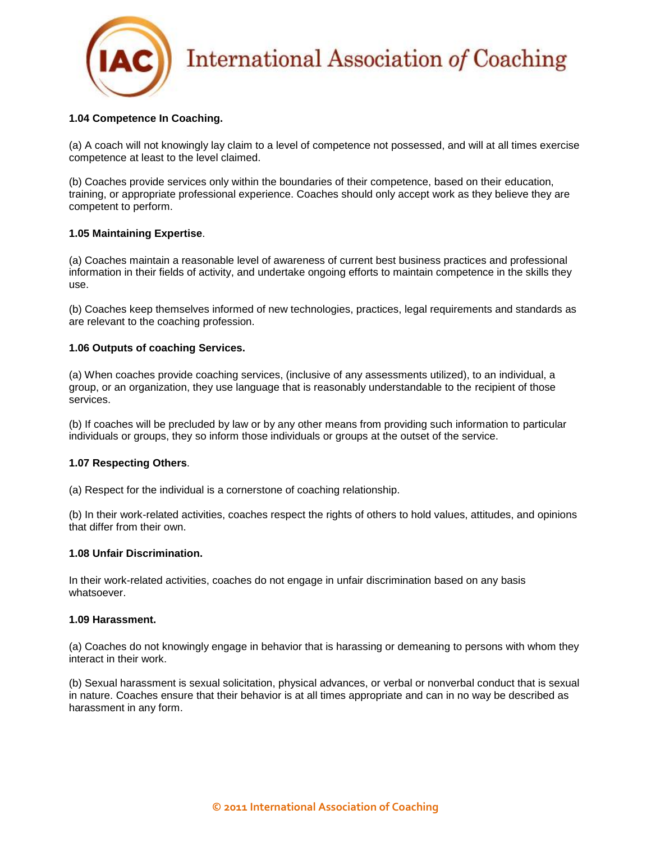

### **1.04 Competence In Coaching.**

(a) A coach will not knowingly lay claim to a level of competence not possessed, and will at all times exercise competence at least to the level claimed.

(b) Coaches provide services only within the boundaries of their competence, based on their education, training, or appropriate professional experience. Coaches should only accept work as they believe they are competent to perform.

### **1.05 Maintaining Expertise**.

(a) Coaches maintain a reasonable level of awareness of current best business practices and professional information in their fields of activity, and undertake ongoing efforts to maintain competence in the skills they use.

(b) Coaches keep themselves informed of new technologies, practices, legal requirements and standards as are relevant to the coaching profession.

### **1.06 Outputs of coaching Services.**

(a) When coaches provide coaching services, (inclusive of any assessments utilized), to an individual, a group, or an organization, they use language that is reasonably understandable to the recipient of those services.

(b) If coaches will be precluded by law or by any other means from providing such information to particular individuals or groups, they so inform those individuals or groups at the outset of the service.

### **1.07 Respecting Others**.

(a) Respect for the individual is a cornerstone of coaching relationship.

(b) In their work-related activities, coaches respect the rights of others to hold values, attitudes, and opinions that differ from their own.

### **1.08 Unfair Discrimination.**

In their work-related activities, coaches do not engage in unfair discrimination based on any basis whatsoever.

### **1.09 Harassment.**

(a) Coaches do not knowingly engage in behavior that is harassing or demeaning to persons with whom they interact in their work.

(b) Sexual harassment is sexual solicitation, physical advances, or verbal or nonverbal conduct that is sexual in nature. Coaches ensure that their behavior is at all times appropriate and can in no way be described as harassment in any form.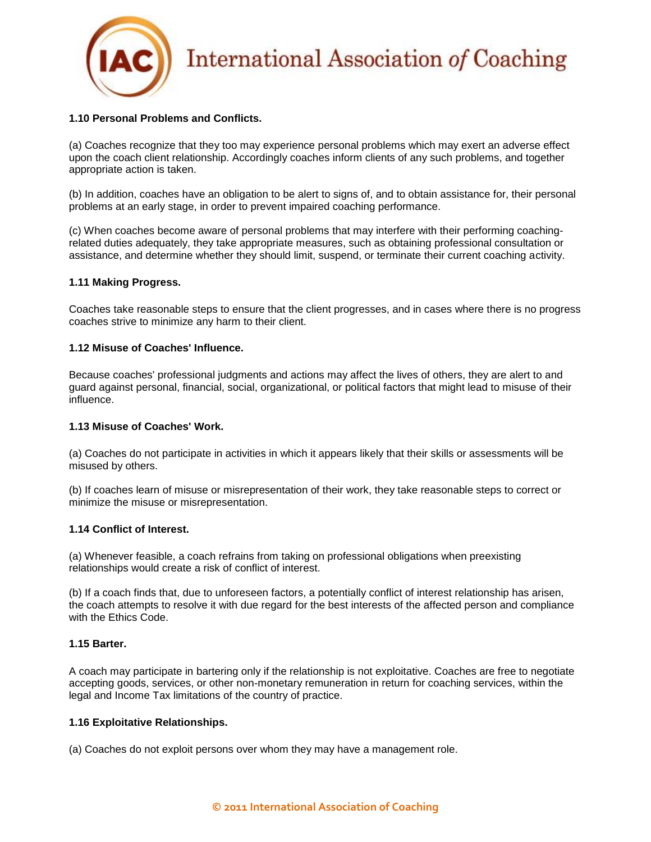

### **1.10 Personal Problems and Conflicts.**

(a) Coaches recognize that they too may experience personal problems which may exert an adverse effect upon the coach client relationship. Accordingly coaches inform clients of any such problems, and together appropriate action is taken.

(b) In addition, coaches have an obligation to be alert to signs of, and to obtain assistance for, their personal problems at an early stage, in order to prevent impaired coaching performance.

(c) When coaches become aware of personal problems that may interfere with their performing coachingrelated duties adequately, they take appropriate measures, such as obtaining professional consultation or assistance, and determine whether they should limit, suspend, or terminate their current coaching activity.

### **1.11 Making Progress.**

Coaches take reasonable steps to ensure that the client progresses, and in cases where there is no progress coaches strive to minimize any harm to their client.

### **1.12 Misuse of Coaches' Influence.**

Because coaches' professional judgments and actions may affect the lives of others, they are alert to and guard against personal, financial, social, organizational, or political factors that might lead to misuse of their influence.

### **1.13 Misuse of Coaches' Work.**

(a) Coaches do not participate in activities in which it appears likely that their skills or assessments will be misused by others.

(b) If coaches learn of misuse or misrepresentation of their work, they take reasonable steps to correct or minimize the misuse or misrepresentation.

### **1.14 Conflict of Interest.**

(a) Whenever feasible, a coach refrains from taking on professional obligations when preexisting relationships would create a risk of conflict of interest.

(b) If a coach finds that, due to unforeseen factors, a potentially conflict of interest relationship has arisen, the coach attempts to resolve it with due regard for the best interests of the affected person and compliance with the Ethics Code.

### **1.15 Barter.**

A coach may participate in bartering only if the relationship is not exploitative. Coaches are free to negotiate accepting goods, services, or other non-monetary remuneration in return for coaching services, within the legal and Income Tax limitations of the country of practice.

### **1.16 Exploitative Relationships.**

(a) Coaches do not exploit persons over whom they may have a management role.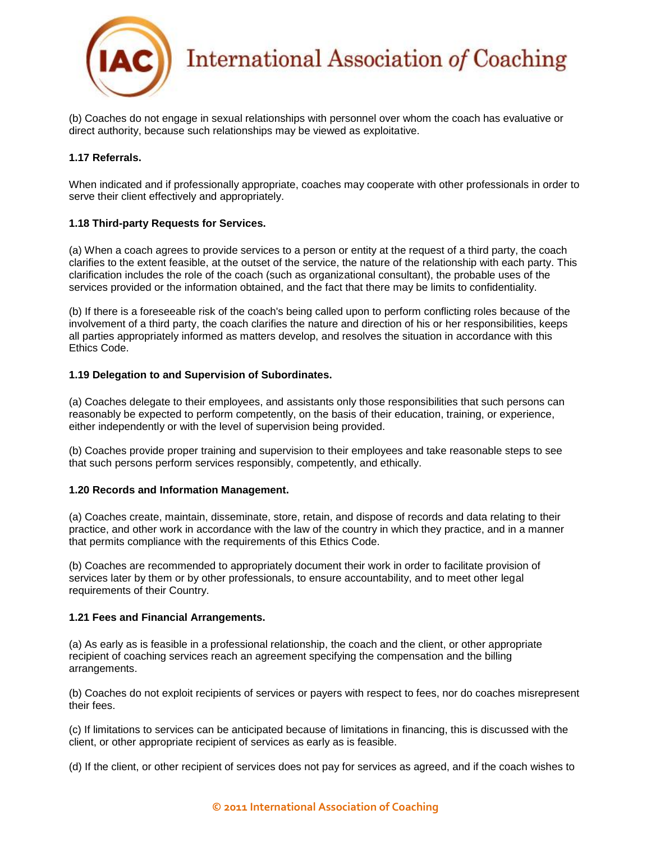

(b) Coaches do not engage in sexual relationships with personnel over whom the coach has evaluative or direct authority, because such relationships may be viewed as exploitative.

### **1.17 Referrals.**

When indicated and if professionally appropriate, coaches may cooperate with other professionals in order to serve their client effectively and appropriately.

### **1.18 Third-party Requests for Services.**

(a) When a coach agrees to provide services to a person or entity at the request of a third party, the coach clarifies to the extent feasible, at the outset of the service, the nature of the relationship with each party. This clarification includes the role of the coach (such as organizational consultant), the probable uses of the services provided or the information obtained, and the fact that there may be limits to confidentiality.

(b) If there is a foreseeable risk of the coach's being called upon to perform conflicting roles because of the involvement of a third party, the coach clarifies the nature and direction of his or her responsibilities, keeps all parties appropriately informed as matters develop, and resolves the situation in accordance with this Ethics Code.

### **1.19 Delegation to and Supervision of Subordinates.**

(a) Coaches delegate to their employees, and assistants only those responsibilities that such persons can reasonably be expected to perform competently, on the basis of their education, training, or experience, either independently or with the level of supervision being provided.

(b) Coaches provide proper training and supervision to their employees and take reasonable steps to see that such persons perform services responsibly, competently, and ethically.

### **1.20 Records and Information Management.**

(a) Coaches create, maintain, disseminate, store, retain, and dispose of records and data relating to their practice, and other work in accordance with the law of the country in which they practice, and in a manner that permits compliance with the requirements of this Ethics Code.

(b) Coaches are recommended to appropriately document their work in order to facilitate provision of services later by them or by other professionals, to ensure accountability, and to meet other legal requirements of their Country.

### **1.21 Fees and Financial Arrangements.**

(a) As early as is feasible in a professional relationship, the coach and the client, or other appropriate recipient of coaching services reach an agreement specifying the compensation and the billing arrangements.

(b) Coaches do not exploit recipients of services or payers with respect to fees, nor do coaches misrepresent their fees.

(c) If limitations to services can be anticipated because of limitations in financing, this is discussed with the client, or other appropriate recipient of services as early as is feasible.

(d) If the client, or other recipient of services does not pay for services as agreed, and if the coach wishes to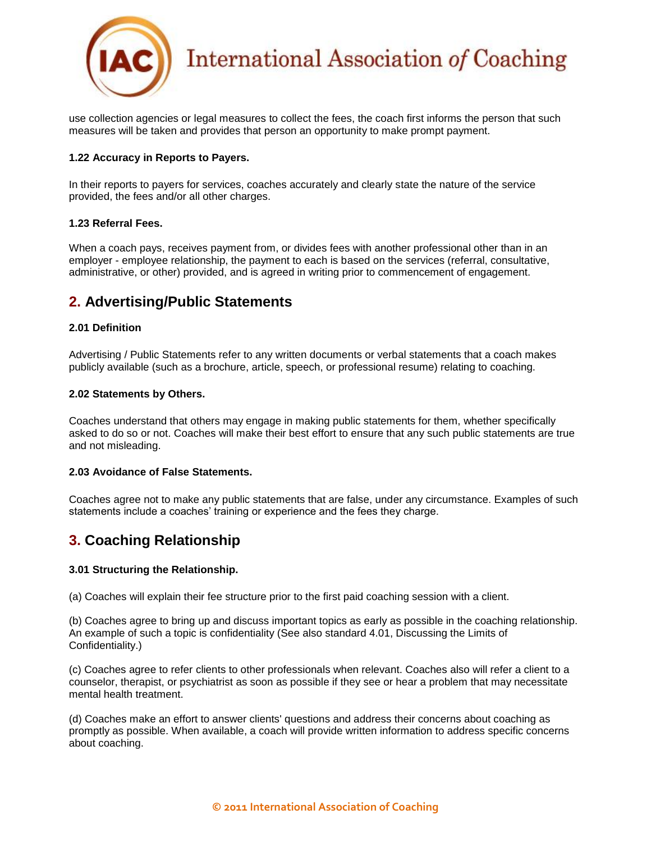

use collection agencies or legal measures to collect the fees, the coach first informs the person that such measures will be taken and provides that person an opportunity to make prompt payment.

### **1.22 Accuracy in Reports to Payers.**

In their reports to payers for services, coaches accurately and clearly state the nature of the service provided, the fees and/or all other charges.

### **1.23 Referral Fees.**

When a coach pays, receives payment from, or divides fees with another professional other than in an employer - employee relationship, the payment to each is based on the services (referral, consultative, administrative, or other) provided, and is agreed in writing prior to commencement of engagement.

## **2. Advertising/Public Statements**

### **2.01 Definition**

Advertising / Public Statements refer to any written documents or verbal statements that a coach makes publicly available (such as a brochure, article, speech, or professional resume) relating to coaching.

### **2.02 Statements by Others.**

Coaches understand that others may engage in making public statements for them, whether specifically asked to do so or not. Coaches will make their best effort to ensure that any such public statements are true and not misleading.

### **2.03 Avoidance of False Statements.**

Coaches agree not to make any public statements that are false, under any circumstance. Examples of such statements include a coaches' training or experience and the fees they charge.

## **3. Coaching Relationship**

### **3.01 Structuring the Relationship.**

(a) Coaches will explain their fee structure prior to the first paid coaching session with a client.

(b) Coaches agree to bring up and discuss important topics as early as possible in the coaching relationship. An example of such a topic is confidentiality (See also standard 4.01, Discussing the Limits of Confidentiality.)

(c) Coaches agree to refer clients to other professionals when relevant. Coaches also will refer a client to a counselor, therapist, or psychiatrist as soon as possible if they see or hear a problem that may necessitate mental health treatment.

(d) Coaches make an effort to answer clients' questions and address their concerns about coaching as promptly as possible. When available, a coach will provide written information to address specific concerns about coaching.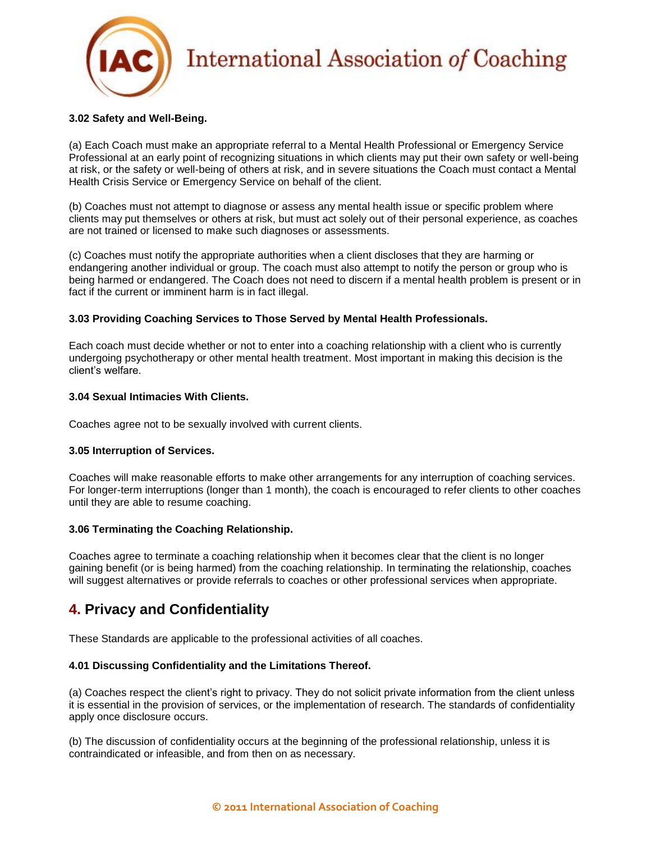

### **3.02 Safety and Well-Being.**

(a) Each Coach must make an appropriate referral to a Mental Health Professional or Emergency Service Professional at an early point of recognizing situations in which clients may put their own safety or well-being at risk, or the safety or well-being of others at risk, and in severe situations the Coach must contact a Mental Health Crisis Service or Emergency Service on behalf of the client.

(b) Coaches must not attempt to diagnose or assess any mental health issue or specific problem where clients may put themselves or others at risk, but must act solely out of their personal experience, as coaches are not trained or licensed to make such diagnoses or assessments.

(c) Coaches must notify the appropriate authorities when a client discloses that they are harming or endangering another individual or group. The coach must also attempt to notify the person or group who is being harmed or endangered. The Coach does not need to discern if a mental health problem is present or in fact if the current or imminent harm is in fact illegal.

### **3.03 Providing Coaching Services to Those Served by Mental Health Professionals.**

Each coach must decide whether or not to enter into a coaching relationship with a client who is currently undergoing psychotherapy or other mental health treatment. Most important in making this decision is the client's welfare.

### **3.04 Sexual Intimacies With Clients.**

Coaches agree not to be sexually involved with current clients.

### **3.05 Interruption of Services.**

Coaches will make reasonable efforts to make other arrangements for any interruption of coaching services. For longer-term interruptions (longer than 1 month), the coach is encouraged to refer clients to other coaches until they are able to resume coaching.

### **3.06 Terminating the Coaching Relationship.**

Coaches agree to terminate a coaching relationship when it becomes clear that the client is no longer gaining benefit (or is being harmed) from the coaching relationship. In terminating the relationship, coaches will suggest alternatives or provide referrals to coaches or other professional services when appropriate.

## **4. Privacy and Confidentiality**

These Standards are applicable to the professional activities of all coaches.

### **4.01 Discussing Confidentiality and the Limitations Thereof.**

(a) Coaches respect the client's right to privacy. They do not solicit private information from the client unless it is essential in the provision of services, or the implementation of research. The standards of confidentiality apply once disclosure occurs.

(b) The discussion of confidentiality occurs at the beginning of the professional relationship, unless it is contraindicated or infeasible, and from then on as necessary.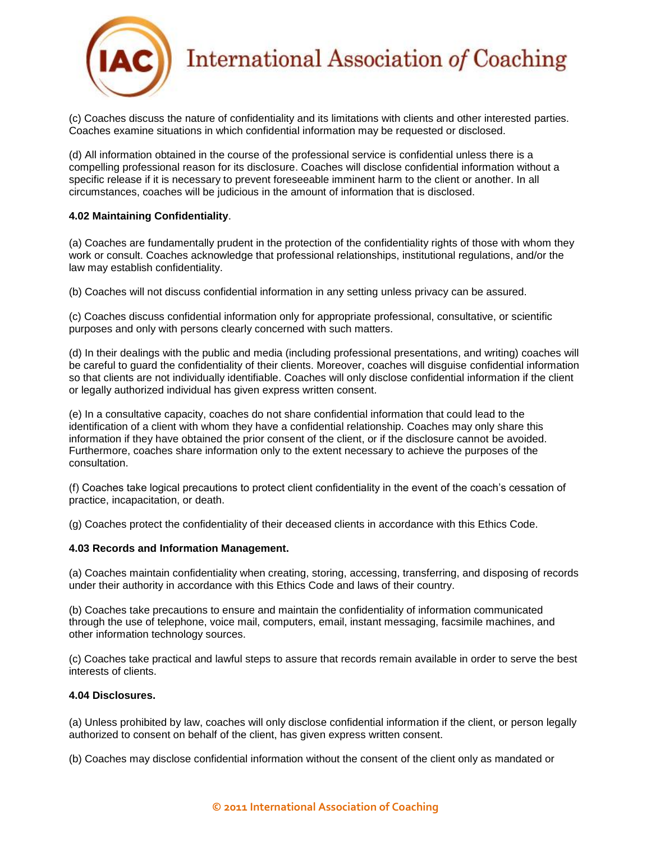

(c) Coaches discuss the nature of confidentiality and its limitations with clients and other interested parties. Coaches examine situations in which confidential information may be requested or disclosed.

(d) All information obtained in the course of the professional service is confidential unless there is a compelling professional reason for its disclosure. Coaches will disclose confidential information without a specific release if it is necessary to prevent foreseeable imminent harm to the client or another. In all circumstances, coaches will be judicious in the amount of information that is disclosed.

### **4.02 Maintaining Confidentiality**.

(a) Coaches are fundamentally prudent in the protection of the confidentiality rights of those with whom they work or consult. Coaches acknowledge that professional relationships, institutional regulations, and/or the law may establish confidentiality.

(b) Coaches will not discuss confidential information in any setting unless privacy can be assured.

(c) Coaches discuss confidential information only for appropriate professional, consultative, or scientific purposes and only with persons clearly concerned with such matters.

(d) In their dealings with the public and media (including professional presentations, and writing) coaches will be careful to guard the confidentiality of their clients. Moreover, coaches will disguise confidential information so that clients are not individually identifiable. Coaches will only disclose confidential information if the client or legally authorized individual has given express written consent.

(e) In a consultative capacity, coaches do not share confidential information that could lead to the identification of a client with whom they have a confidential relationship. Coaches may only share this information if they have obtained the prior consent of the client, or if the disclosure cannot be avoided. Furthermore, coaches share information only to the extent necessary to achieve the purposes of the consultation.

(f) Coaches take logical precautions to protect client confidentiality in the event of the coach's cessation of practice, incapacitation, or death.

(g) Coaches protect the confidentiality of their deceased clients in accordance with this Ethics Code.

### **4.03 Records and Information Management.**

(a) Coaches maintain confidentiality when creating, storing, accessing, transferring, and disposing of records under their authority in accordance with this Ethics Code and laws of their country.

(b) Coaches take precautions to ensure and maintain the confidentiality of information communicated through the use of telephone, voice mail, computers, email, instant messaging, facsimile machines, and other information technology sources.

(c) Coaches take practical and lawful steps to assure that records remain available in order to serve the best interests of clients.

### **4.04 Disclosures.**

(a) Unless prohibited by law, coaches will only disclose confidential information if the client, or person legally authorized to consent on behalf of the client, has given express written consent.

(b) Coaches may disclose confidential information without the consent of the client only as mandated or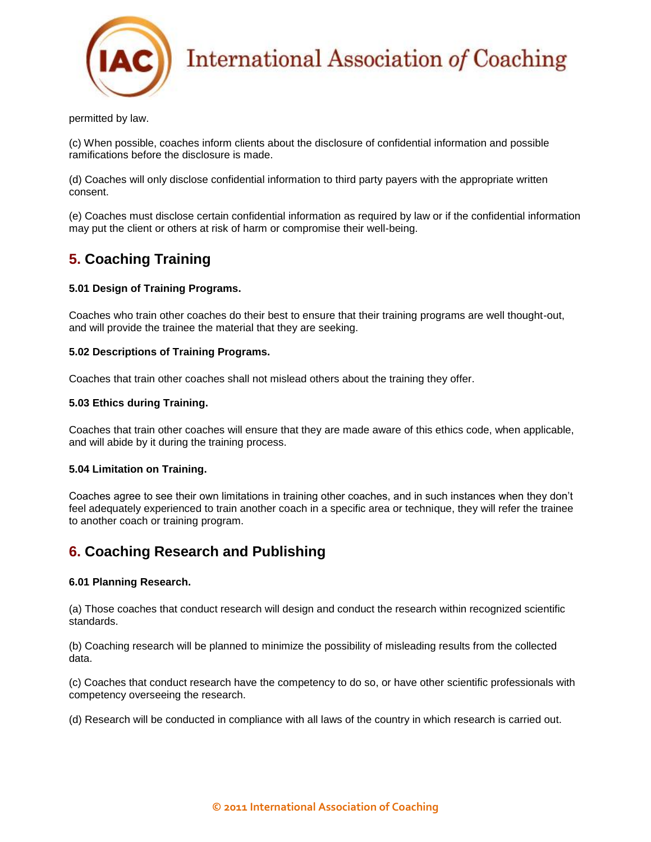

permitted by law.

(c) When possible, coaches inform clients about the disclosure of confidential information and possible ramifications before the disclosure is made.

(d) Coaches will only disclose confidential information to third party payers with the appropriate written consent.

(e) Coaches must disclose certain confidential information as required by law or if the confidential information may put the client or others at risk of harm or compromise their well-being.

# **5. Coaching Training**

### **5.01 Design of Training Programs.**

Coaches who train other coaches do their best to ensure that their training programs are well thought-out, and will provide the trainee the material that they are seeking.

### **5.02 Descriptions of Training Programs.**

Coaches that train other coaches shall not mislead others about the training they offer.

#### **5.03 Ethics during Training.**

Coaches that train other coaches will ensure that they are made aware of this ethics code, when applicable, and will abide by it during the training process.

### **5.04 Limitation on Training.**

Coaches agree to see their own limitations in training other coaches, and in such instances when they don't feel adequately experienced to train another coach in a specific area or technique, they will refer the trainee to another coach or training program.

## **6. Coaching Research and Publishing**

### **6.01 Planning Research.**

(a) Those coaches that conduct research will design and conduct the research within recognized scientific standards.

(b) Coaching research will be planned to minimize the possibility of misleading results from the collected data.

(c) Coaches that conduct research have the competency to do so, or have other scientific professionals with competency overseeing the research.

(d) Research will be conducted in compliance with all laws of the country in which research is carried out.